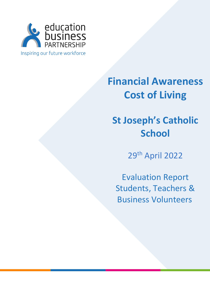

# **Financial Awareness Cost of Living**

## **St Joseph's Catholic School**

29th April 2022

Evaluation Report Students, Teachers & Business Volunteers

1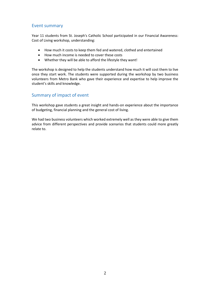## Event summary

Year 11 students from St. Joseph's Catholic School participated in our Financial Awareness: Cost of Living workshop, understanding:

- How much it costs to keep them fed and watered, clothed and entertained
- How much income is needed to cover these costs
- Whether they will be able to afford the lifestyle they want!

The workshop is designed to help the students understand how much it will cost them to live once they start work. The students were supported during the workshop by two business volunteers from Metro Bank who gave their experience and expertise to help improve the student's skills and knowledge.

## Summary of impact of event

This workshop gave students a great insight and hands-on experience about the importance of budgeting, financial planning and the general cost of living.

We had two business volunteers which worked extremely well as they were able to give them advice from different perspectives and provide scenarios that students could more greatly relate to.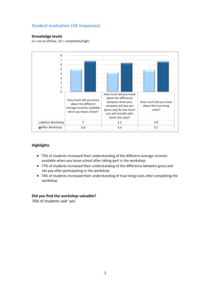## Student evaluation (54 responses)

#### **Knowledge levels**

(1= not at all/low, 10 = completely/high)



#### **Highlights**

- 75% of students increased their understanding of the different average incomes available when you leave school after taking part in the workshop
- 77% of students increased their understanding of the difference between gross and net pay after participating in the workshop
- 74% of students increased their understanding of true living costs after completing the workshop

#### **Did you find the workshop valuable?**

76% of students said 'yes'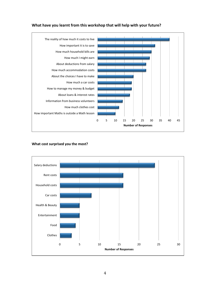

#### **What have you learnt from this workshop that will help with your future?**

#### **What cost surprised you the most?**

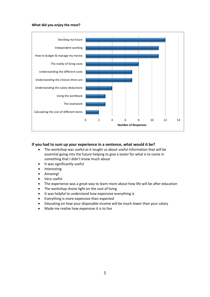#### **What did you enjoy the most?**



#### **If you had to sum up your experience in a sentence, what would it be?**

- The workshop was useful as it taught us about useful information that will be essential going into the future helping to give a taster for what is to come in something that I didn't know much about
- It was significantly useful
- Interesting
- Amazing!
- Very useful
- The experience was a great way to learn more about how life will be after education
- The workshop shone light on the cost of living
- It was helpful to understand how expensive everything is
- Everything is more expensive than expected
- Educating on how your disposable income will be much lower than your salary
- Made me realise how expensive it is to live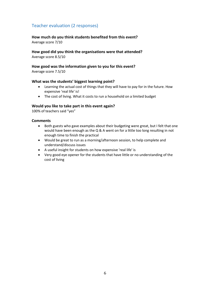## Teacher evaluation (2 responses)

## **How much do you think students benefited from this event?**

Average score 7/10

#### **How good did you think the organisations were that attended?**  Average score 8.5/10

## **How good was the information given to you for this event?**

Average score 7.5/10

#### **What was the students' biggest learning point?**

- Learning the actual cost of things that they will have to pay for in the future. How expensive 'real life' is!
- The cost of living. What it costs to run a household on a limited budget

#### **Would you like to take part in this event again?**

100% of teachers said "yes"

#### **Comments**

- Both guests who gave examples about their budgeting were great, but I felt that one would have been enough as the Q & A went on for a little too long resulting in not enough time to finish the practical
- Would be great to run as a morning/afternoon session, to help complete and understand/discuss issues
- A useful insight for students on how expensive 'real life' is
- Very good eye opener for the students that have little or no understanding of the cost of living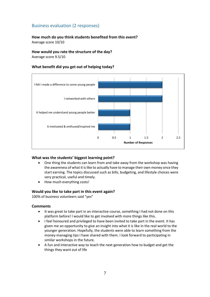## Business evaluation (2 responses)

## **How much do you think students benefited from this event?**

Average score 10/10

## **How would you rate the structure of the day?**

Average score 9.5/10

#### **What benefit did you get out of helping today?**



#### **What was the students' biggest learning point?**

- One thing the students can learn from and take away from the workshop was having the awareness of what it is like to actually have to manage their own money once they start earning. The topics discussed such as bills, budgeting, and lifestyle choices were very practical, useful and timely.
- How much everything costs!

#### **Would you like to take part in this event again?**

100% of business volunteers said "yes"

#### **Comments**

- It was great to take part in an interactive course, something I had not done on this platform before! I would like to get involved with more things like this.
- I feel honoured and privileged to have been invited to take part in the event. It has given me an opportunity to give an insight into what it is like in the real world to the younger generation. Hopefully, the students were able to learn something from the money-managing tips I have shared with them. I look forward to participating in similar workshops in the future.
- A fun and interactive way to teach the next generation how to budget and get the things they want out of life